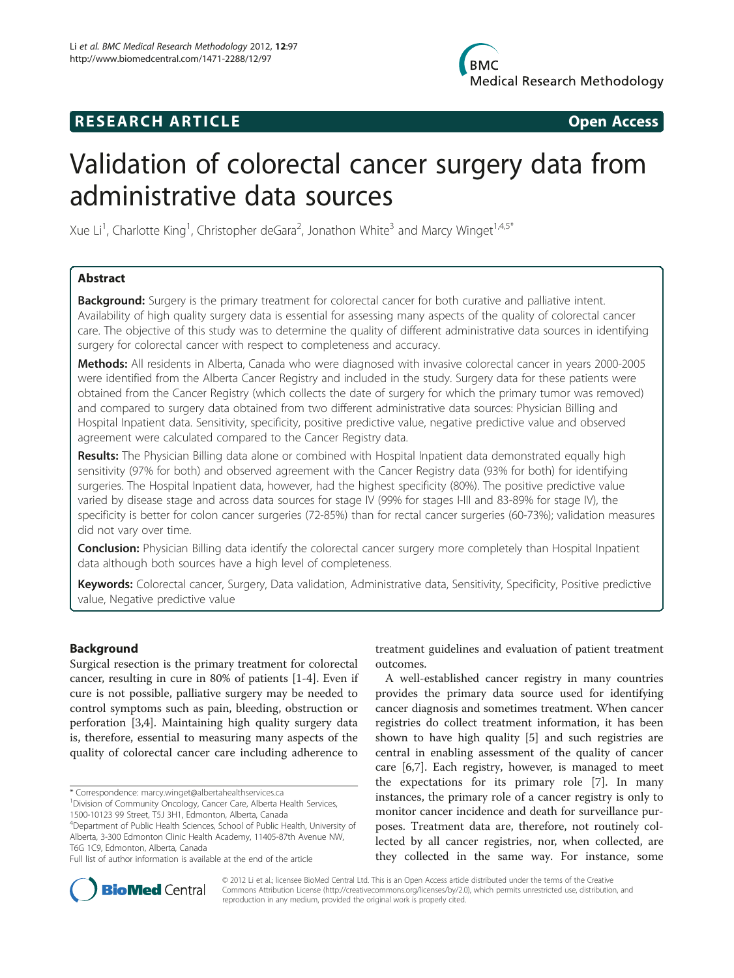## **RESEARCH ARTICLE Example 2014 Open Access**

# Validation of colorectal cancer surgery data from administrative data sources

Xue Li<sup>1</sup>, Charlotte King<sup>1</sup>, Christopher deGara<sup>2</sup>, Jonathon White<sup>3</sup> and Marcy Winget<sup>1,4,5\*</sup>

## Abstract

**Background:** Surgery is the primary treatment for colorectal cancer for both curative and palliative intent. Availability of high quality surgery data is essential for assessing many aspects of the quality of colorectal cancer care. The objective of this study was to determine the quality of different administrative data sources in identifying surgery for colorectal cancer with respect to completeness and accuracy.

Methods: All residents in Alberta, Canada who were diagnosed with invasive colorectal cancer in years 2000-2005 were identified from the Alberta Cancer Registry and included in the study. Surgery data for these patients were obtained from the Cancer Registry (which collects the date of surgery for which the primary tumor was removed) and compared to surgery data obtained from two different administrative data sources: Physician Billing and Hospital Inpatient data. Sensitivity, specificity, positive predictive value, negative predictive value and observed agreement were calculated compared to the Cancer Registry data.

Results: The Physician Billing data alone or combined with Hospital Inpatient data demonstrated equally high sensitivity (97% for both) and observed agreement with the Cancer Registry data (93% for both) for identifying surgeries. The Hospital Inpatient data, however, had the highest specificity (80%). The positive predictive value varied by disease stage and across data sources for stage IV (99% for stages I-III and 83-89% for stage IV), the specificity is better for colon cancer surgeries (72-85%) than for rectal cancer surgeries (60-73%); validation measures did not vary over time.

Conclusion: Physician Billing data identify the colorectal cancer surgery more completely than Hospital Inpatient data although both sources have a high level of completeness.

Keywords: Colorectal cancer, Surgery, Data validation, Administrative data, Sensitivity, Specificity, Positive predictive value, Negative predictive value

## Background

Surgical resection is the primary treatment for colorectal cancer, resulting in cure in 80% of patients [\[1](#page-5-0)-[4\]](#page-5-0). Even if cure is not possible, palliative surgery may be needed to control symptoms such as pain, bleeding, obstruction or perforation [[3,4\]](#page-5-0). Maintaining high quality surgery data is, therefore, essential to measuring many aspects of the quality of colorectal cancer care including adherence to

treatment guidelines and evaluation of patient treatment outcomes.

A well-established cancer registry in many countries provides the primary data source used for identifying cancer diagnosis and sometimes treatment. When cancer registries do collect treatment information, it has been shown to have high quality [\[5](#page-5-0)] and such registries are central in enabling assessment of the quality of cancer care [\[6,7](#page-5-0)]. Each registry, however, is managed to meet the expectations for its primary role [\[7](#page-5-0)]. In many instances, the primary role of a cancer registry is only to monitor cancer incidence and death for surveillance purposes. Treatment data are, therefore, not routinely collected by all cancer registries, nor, when collected, are they collected in the same way. For instance, some



© 2012 Li et al.; licensee BioMed Central Ltd. This is an Open Access article distributed under the terms of the Creative Commons Attribution License [\(http://creativecommons.org/licenses/by/2.0\)](http://creativecommons.org/licenses/by/2.0), which permits unrestricted use, distribution, and reproduction in any medium, provided the original work is properly cited.

<sup>\*</sup> Correspondence: [marcy.winget@albertahealthservices.ca](mailto:marcy.winget@albertahealthservices.ca) <sup>1</sup>

<sup>&</sup>lt;sup>1</sup> Division of Community Oncology, Cancer Care, Alberta Health Services, 1500-10123 99 Street, T5J 3H1, Edmonton, Alberta, Canada

<sup>4</sup> Department of Public Health Sciences, School of Public Health, University of Alberta, 3-300 Edmonton Clinic Health Academy, 11405-87th Avenue NW, T6G 1C9, Edmonton, Alberta, Canada

Full list of author information is available at the end of the article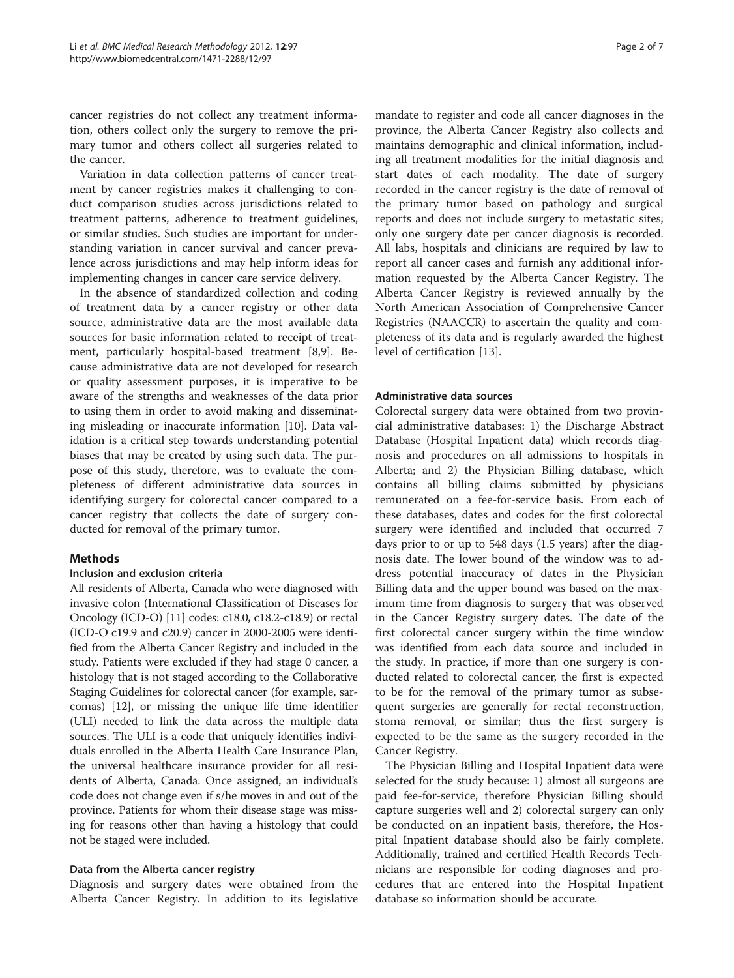cancer registries do not collect any treatment information, others collect only the surgery to remove the primary tumor and others collect all surgeries related to the cancer.

Variation in data collection patterns of cancer treatment by cancer registries makes it challenging to conduct comparison studies across jurisdictions related to treatment patterns, adherence to treatment guidelines, or similar studies. Such studies are important for understanding variation in cancer survival and cancer prevalence across jurisdictions and may help inform ideas for implementing changes in cancer care service delivery.

In the absence of standardized collection and coding of treatment data by a cancer registry or other data source, administrative data are the most available data sources for basic information related to receipt of treatment, particularly hospital-based treatment [\[8,9](#page-5-0)]. Because administrative data are not developed for research or quality assessment purposes, it is imperative to be aware of the strengths and weaknesses of the data prior to using them in order to avoid making and disseminating misleading or inaccurate information [\[10\]](#page-5-0). Data validation is a critical step towards understanding potential biases that may be created by using such data. The purpose of this study, therefore, was to evaluate the completeness of different administrative data sources in identifying surgery for colorectal cancer compared to a cancer registry that collects the date of surgery conducted for removal of the primary tumor.

## **Methods**

## Inclusion and exclusion criteria

All residents of Alberta, Canada who were diagnosed with invasive colon (International Classification of Diseases for Oncology (ICD-O) [[11](#page-5-0)] codes: c18.0, c18.2-c18.9) or rectal (ICD-O c19.9 and c20.9) cancer in 2000-2005 were identified from the Alberta Cancer Registry and included in the study. Patients were excluded if they had stage 0 cancer, a histology that is not staged according to the Collaborative Staging Guidelines for colorectal cancer (for example, sarcomas) [[12](#page-5-0)], or missing the unique life time identifier (ULI) needed to link the data across the multiple data sources. The ULI is a code that uniquely identifies individuals enrolled in the Alberta Health Care Insurance Plan, the universal healthcare insurance provider for all residents of Alberta, Canada. Once assigned, an individual's code does not change even if s/he moves in and out of the province. Patients for whom their disease stage was missing for reasons other than having a histology that could not be staged were included.

## Data from the Alberta cancer registry

Diagnosis and surgery dates were obtained from the Alberta Cancer Registry. In addition to its legislative mandate to register and code all cancer diagnoses in the province, the Alberta Cancer Registry also collects and maintains demographic and clinical information, including all treatment modalities for the initial diagnosis and start dates of each modality. The date of surgery recorded in the cancer registry is the date of removal of the primary tumor based on pathology and surgical reports and does not include surgery to metastatic sites; only one surgery date per cancer diagnosis is recorded. All labs, hospitals and clinicians are required by law to report all cancer cases and furnish any additional information requested by the Alberta Cancer Registry. The Alberta Cancer Registry is reviewed annually by the North American Association of Comprehensive Cancer Registries (NAACCR) to ascertain the quality and completeness of its data and is regularly awarded the highest level of certification [[13\]](#page-5-0).

## Administrative data sources

Colorectal surgery data were obtained from two provincial administrative databases: 1) the Discharge Abstract Database (Hospital Inpatient data) which records diagnosis and procedures on all admissions to hospitals in Alberta; and 2) the Physician Billing database, which contains all billing claims submitted by physicians remunerated on a fee-for-service basis. From each of these databases, dates and codes for the first colorectal surgery were identified and included that occurred 7 days prior to or up to 548 days (1.5 years) after the diagnosis date. The lower bound of the window was to address potential inaccuracy of dates in the Physician Billing data and the upper bound was based on the maximum time from diagnosis to surgery that was observed in the Cancer Registry surgery dates. The date of the first colorectal cancer surgery within the time window was identified from each data source and included in the study. In practice, if more than one surgery is conducted related to colorectal cancer, the first is expected to be for the removal of the primary tumor as subsequent surgeries are generally for rectal reconstruction, stoma removal, or similar; thus the first surgery is expected to be the same as the surgery recorded in the Cancer Registry.

The Physician Billing and Hospital Inpatient data were selected for the study because: 1) almost all surgeons are paid fee-for-service, therefore Physician Billing should capture surgeries well and 2) colorectal surgery can only be conducted on an inpatient basis, therefore, the Hospital Inpatient database should also be fairly complete. Additionally, trained and certified Health Records Technicians are responsible for coding diagnoses and procedures that are entered into the Hospital Inpatient database so information should be accurate.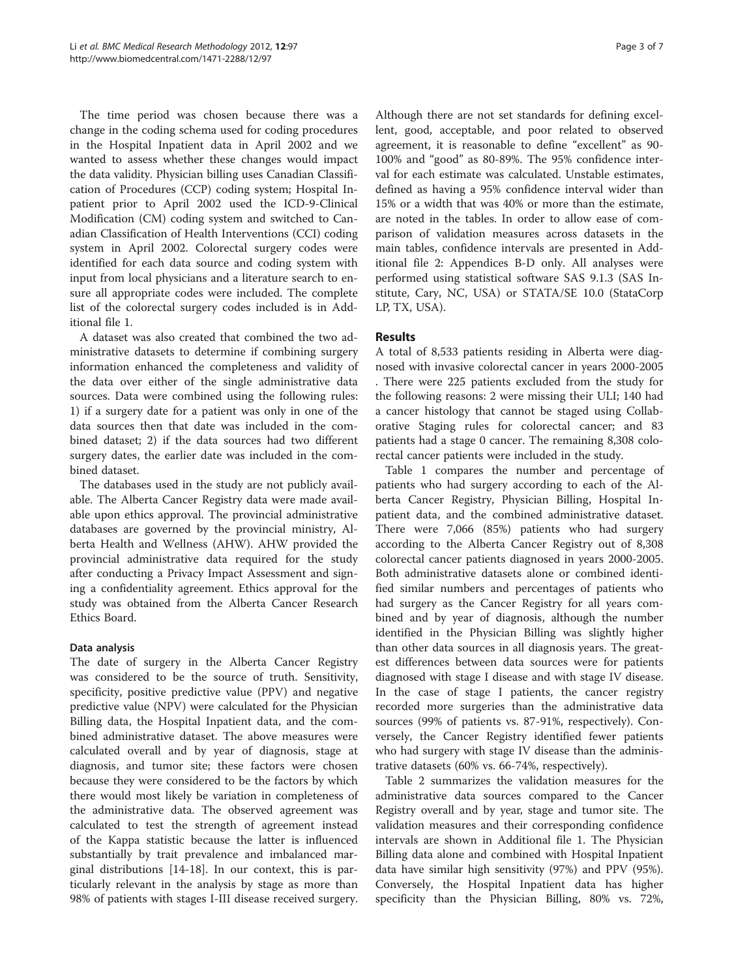The time period was chosen because there was a change in the coding schema used for coding procedures in the Hospital Inpatient data in April 2002 and we wanted to assess whether these changes would impact the data validity. Physician billing uses Canadian Classification of Procedures (CCP) coding system; Hospital Inpatient prior to April 2002 used the ICD-9-Clinical Modification (CM) coding system and switched to Canadian Classification of Health Interventions (CCI) coding system in April 2002. Colorectal surgery codes were identified for each data source and coding system with input from local physicians and a literature search to ensure all appropriate codes were included. The complete list of the colorectal surgery codes included is in Additional file [1.](#page-5-0)

A dataset was also created that combined the two administrative datasets to determine if combining surgery information enhanced the completeness and validity of the data over either of the single administrative data sources. Data were combined using the following rules: 1) if a surgery date for a patient was only in one of the data sources then that date was included in the combined dataset; 2) if the data sources had two different surgery dates, the earlier date was included in the combined dataset.

The databases used in the study are not publicly available. The Alberta Cancer Registry data were made available upon ethics approval. The provincial administrative databases are governed by the provincial ministry, Alberta Health and Wellness (AHW). AHW provided the provincial administrative data required for the study after conducting a Privacy Impact Assessment and signing a confidentiality agreement. Ethics approval for the study was obtained from the Alberta Cancer Research Ethics Board.

## Data analysis

The date of surgery in the Alberta Cancer Registry was considered to be the source of truth. Sensitivity, specificity, positive predictive value (PPV) and negative predictive value (NPV) were calculated for the Physician Billing data, the Hospital Inpatient data, and the combined administrative dataset. The above measures were calculated overall and by year of diagnosis, stage at diagnosis, and tumor site; these factors were chosen because they were considered to be the factors by which there would most likely be variation in completeness of the administrative data. The observed agreement was calculated to test the strength of agreement instead of the Kappa statistic because the latter is influenced substantially by trait prevalence and imbalanced marginal distributions [\[14](#page-6-0)-[18\]](#page-6-0). In our context, this is particularly relevant in the analysis by stage as more than 98% of patients with stages I-III disease received surgery.

Although there are not set standards for defining excellent, good, acceptable, and poor related to observed agreement, it is reasonable to define "excellent" as 90- 100% and "good" as 80-89%. The 95% confidence interval for each estimate was calculated. Unstable estimates, defined as having a 95% confidence interval wider than 15% or a width that was 40% or more than the estimate, are noted in the tables. In order to allow ease of comparison of validation measures across datasets in the main tables, confidence intervals are presented in Additional file [2:](#page-5-0) Appendices B-D only. All analyses were performed using statistical software SAS 9.1.3 (SAS Institute, Cary, NC, USA) or STATA/SE 10.0 (StataCorp LP, TX, USA).

## Results

A total of 8,533 patients residing in Alberta were diagnosed with invasive colorectal cancer in years 2000-2005 . There were 225 patients excluded from the study for the following reasons: 2 were missing their ULI; 140 had a cancer histology that cannot be staged using Collaborative Staging rules for colorectal cancer; and 83 patients had a stage 0 cancer. The remaining 8,308 colorectal cancer patients were included in the study.

Table [1](#page-3-0) compares the number and percentage of patients who had surgery according to each of the Alberta Cancer Registry, Physician Billing, Hospital Inpatient data, and the combined administrative dataset. There were 7,066 (85%) patients who had surgery according to the Alberta Cancer Registry out of 8,308 colorectal cancer patients diagnosed in years 2000-2005. Both administrative datasets alone or combined identified similar numbers and percentages of patients who had surgery as the Cancer Registry for all years combined and by year of diagnosis, although the number identified in the Physician Billing was slightly higher than other data sources in all diagnosis years. The greatest differences between data sources were for patients diagnosed with stage I disease and with stage IV disease. In the case of stage I patients, the cancer registry recorded more surgeries than the administrative data sources (99% of patients vs. 87-91%, respectively). Conversely, the Cancer Registry identified fewer patients who had surgery with stage IV disease than the administrative datasets (60% vs. 66-74%, respectively).

Table [2](#page-4-0) summarizes the validation measures for the administrative data sources compared to the Cancer Registry overall and by year, stage and tumor site. The validation measures and their corresponding confidence intervals are shown in Additional file [1](#page-5-0). The Physician Billing data alone and combined with Hospital Inpatient data have similar high sensitivity (97%) and PPV (95%). Conversely, the Hospital Inpatient data has higher specificity than the Physician Billing, 80% vs. 72%,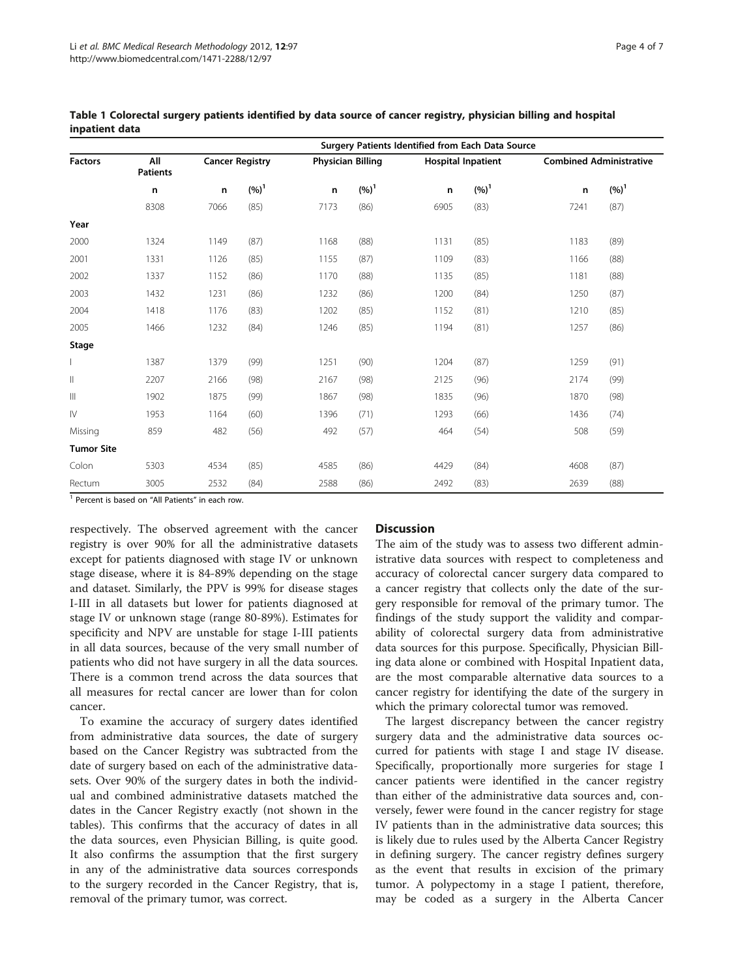|                                       |                        | Surgery Patients Identified from Each Data Source |         |                          |         |      |                           |                                |         |  |  |  |  |  |
|---------------------------------------|------------------------|---------------------------------------------------|---------|--------------------------|---------|------|---------------------------|--------------------------------|---------|--|--|--|--|--|
| <b>Factors</b>                        | All<br><b>Patients</b> | <b>Cancer Registry</b>                            |         | <b>Physician Billing</b> |         |      | <b>Hospital Inpatient</b> | <b>Combined Administrative</b> |         |  |  |  |  |  |
|                                       | n                      | n                                                 | $(%)^1$ | n                        | $(%)^1$ | n    | $(%)^1$                   | n                              | $(%)^1$ |  |  |  |  |  |
|                                       | 8308                   | 7066                                              | (85)    | 7173                     | (86)    | 6905 | (83)                      | 7241                           | (87)    |  |  |  |  |  |
| Year                                  |                        |                                                   |         |                          |         |      |                           |                                |         |  |  |  |  |  |
| 2000                                  | 1324                   | 1149                                              | (87)    | 1168                     | (88)    | 1131 | (85)                      | 1183                           | (89)    |  |  |  |  |  |
| 2001                                  | 1331                   | 1126                                              | (85)    | 1155                     | (87)    | 1109 | (83)                      | 1166                           | (88)    |  |  |  |  |  |
| 2002                                  | 1337                   | 1152                                              | (86)    | 1170                     | (88)    | 1135 | (85)                      | 1181                           | (88)    |  |  |  |  |  |
| 2003                                  | 1432                   | 1231                                              | (86)    | 1232                     | (86)    | 1200 | (84)                      | 1250                           | (87)    |  |  |  |  |  |
| 2004                                  | 1418                   | 1176                                              | (83)    | 1202                     | (85)    | 1152 | (81)                      | 1210                           | (85)    |  |  |  |  |  |
| 2005                                  | 1466                   | 1232                                              | (84)    | 1246                     | (85)    | 1194 | (81)                      | 1257                           | (86)    |  |  |  |  |  |
| Stage                                 |                        |                                                   |         |                          |         |      |                           |                                |         |  |  |  |  |  |
|                                       | 1387                   | 1379                                              | (99)    | 1251                     | (90)    | 1204 | (87)                      | 1259                           | (91)    |  |  |  |  |  |
| $\parallel$                           | 2207                   | 2166                                              | (98)    | 2167                     | (98)    | 2125 | (96)                      | 2174                           | (99)    |  |  |  |  |  |
| $\begin{array}{c} \hline \end{array}$ | 1902                   | 1875                                              | (99)    | 1867                     | (98)    | 1835 | (96)                      | 1870                           | (98)    |  |  |  |  |  |
| $\mathsf{IV}$                         | 1953                   | 1164                                              | (60)    | 1396                     | (71)    | 1293 | (66)                      | 1436                           | (74)    |  |  |  |  |  |
| Missing                               | 859                    | 482                                               | (56)    | 492                      | (57)    | 464  | (54)                      | 508                            | (59)    |  |  |  |  |  |
| <b>Tumor Site</b>                     |                        |                                                   |         |                          |         |      |                           |                                |         |  |  |  |  |  |
| Colon                                 | 5303                   | 4534                                              | (85)    | 4585                     | (86)    | 4429 | (84)                      | 4608                           | (87)    |  |  |  |  |  |
| Rectum                                | 3005                   | 2532                                              | (84)    | 2588                     | (86)    | 2492 | (83)                      | 2639                           | (88)    |  |  |  |  |  |

<span id="page-3-0"></span>Table 1 Colorectal surgery patients identified by data source of cancer registry, physician billing and hospital inpatient data

 $1$  Percent is based on "All Patients" in each row.

respectively. The observed agreement with the cancer registry is over 90% for all the administrative datasets except for patients diagnosed with stage IV or unknown stage disease, where it is 84-89% depending on the stage and dataset. Similarly, the PPV is 99% for disease stages I-III in all datasets but lower for patients diagnosed at stage IV or unknown stage (range 80-89%). Estimates for specificity and NPV are unstable for stage I-III patients in all data sources, because of the very small number of patients who did not have surgery in all the data sources. There is a common trend across the data sources that all measures for rectal cancer are lower than for colon cancer.

To examine the accuracy of surgery dates identified from administrative data sources, the date of surgery based on the Cancer Registry was subtracted from the date of surgery based on each of the administrative datasets. Over 90% of the surgery dates in both the individual and combined administrative datasets matched the dates in the Cancer Registry exactly (not shown in the tables). This confirms that the accuracy of dates in all the data sources, even Physician Billing, is quite good. It also confirms the assumption that the first surgery in any of the administrative data sources corresponds to the surgery recorded in the Cancer Registry, that is, removal of the primary tumor, was correct.

## **Discussion**

The aim of the study was to assess two different administrative data sources with respect to completeness and accuracy of colorectal cancer surgery data compared to a cancer registry that collects only the date of the surgery responsible for removal of the primary tumor. The findings of the study support the validity and comparability of colorectal surgery data from administrative data sources for this purpose. Specifically, Physician Billing data alone or combined with Hospital Inpatient data, are the most comparable alternative data sources to a cancer registry for identifying the date of the surgery in which the primary colorectal tumor was removed.

The largest discrepancy between the cancer registry surgery data and the administrative data sources occurred for patients with stage I and stage IV disease. Specifically, proportionally more surgeries for stage I cancer patients were identified in the cancer registry than either of the administrative data sources and, conversely, fewer were found in the cancer registry for stage IV patients than in the administrative data sources; this is likely due to rules used by the Alberta Cancer Registry in defining surgery. The cancer registry defines surgery as the event that results in excision of the primary tumor. A polypectomy in a stage I patient, therefore, may be coded as a surgery in the Alberta Cancer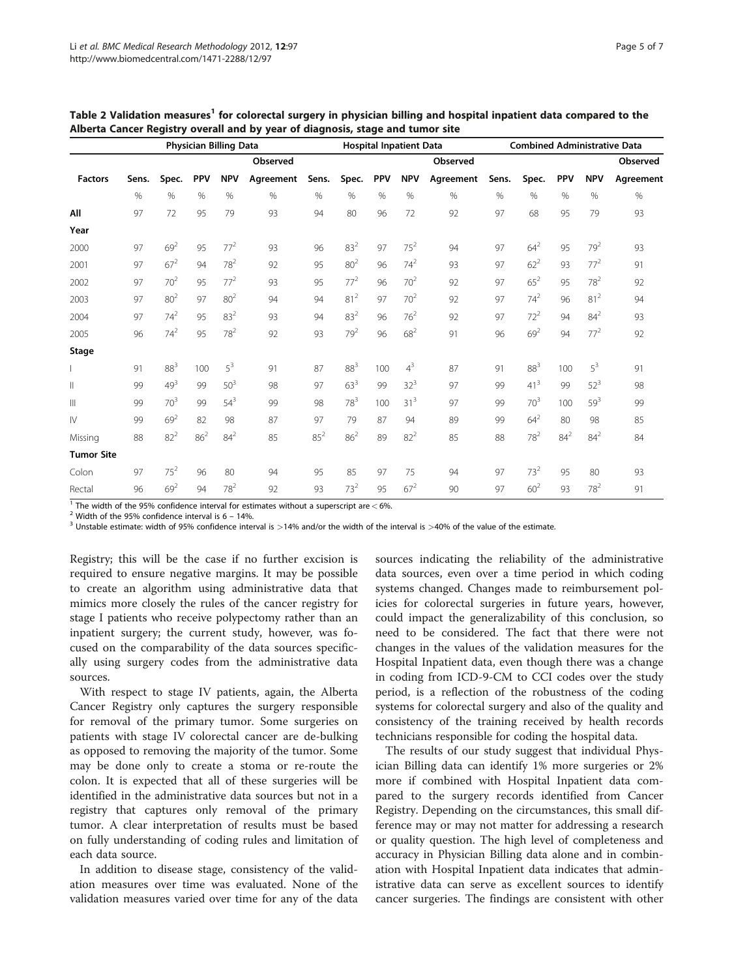|                   | <b>Physician Billing Data</b> |                 |          |                 |           |          | <b>Hospital Inpatient Data</b> |               |                 |           |       | <b>Combined Administrative Data</b> |               |            |           |  |  |
|-------------------|-------------------------------|-----------------|----------|-----------------|-----------|----------|--------------------------------|---------------|-----------------|-----------|-------|-------------------------------------|---------------|------------|-----------|--|--|
|                   |                               |                 |          |                 | Observed  |          |                                |               |                 | Observed  |       |                                     |               |            | Observed  |  |  |
| <b>Factors</b>    | Sens.                         | Spec.           | PPV      | <b>NPV</b>      | Agreement | Sens.    | Spec.                          | PPV           | <b>NPV</b>      | Agreement | Sens. | Spec.                               | PPV           | <b>NPV</b> | Agreement |  |  |
|                   | %                             | %               | %        | %               | $\%$      | $\%$     | $\frac{0}{0}$                  | $\frac{0}{0}$ | $\frac{0}{0}$   | %         | %     | $\frac{0}{0}$                       | $\frac{0}{0}$ | %          | $\%$      |  |  |
| All               | 97                            | 72              | 95       | 79              | 93        | 94       | 80                             | 96            | 72              | 92        | 97    | 68                                  | 95            | 79         | 93        |  |  |
| Year              |                               |                 |          |                 |           |          |                                |               |                 |           |       |                                     |               |            |           |  |  |
| 2000              | 97                            | $69^2$          | 95       | $77^2$          | 93        | 96       | $83^{2}$                       | 97            | $75^2$          | 94        | 97    | $64^{2}$                            | 95            | $79^{2}$   | 93        |  |  |
| 2001              | 97                            | $67^{2}$        | 94       | $78^{2}$        | 92        | 95       | 80 <sup>2</sup>                | 96            | $74^{2}$        | 93        | 97    | $62^{2}$                            | 93            | $77^{2}$   | 91        |  |  |
| 2002              | 97                            | 70 <sup>2</sup> | 95       | $77^{2}$        | 93        | 95       | $77^{2}$                       | 96            | 70 <sup>2</sup> | 92        | 97    | $65^{2}$                            | 95            | $78^{2}$   | 92        |  |  |
| 2003              | 97                            | 80 <sup>2</sup> | 97       | 80 <sup>2</sup> | 94        | 94       | $81^{2}$                       | 97            | 70 <sup>2</sup> | 92        | 97    | $74^{2}$                            | 96            | $81^{2}$   | 94        |  |  |
| 2004              | 97                            | $74^2$          | 95       | $83^{2}$        | 93        | 94       | $83^{2}$                       | 96            | 76 <sup>2</sup> | 92        | 97    | $72^2$                              | 94            | $84^{2}$   | 93        |  |  |
| 2005              | 96                            | $74^2$          | 95       | $78^{2}$        | 92        | 93       | $79^{2}$                       | 96            | $68^{2}$        | 91        | 96    | $69^{2}$                            | 94            | $77^{2}$   | 92        |  |  |
| Stage             |                               |                 |          |                 |           |          |                                |               |                 |           |       |                                     |               |            |           |  |  |
| L                 | 91                            | $88^{3}$        | 100      | $5^3$           | 91        | 87       | $88^{3}$                       | 100           | $4^3$           | 87        | 91    | $88^3$                              | 100           | $5^3$      | 91        |  |  |
| $\mathbb{I}$      | 99                            | $49^{3}$        | 99       | 50 <sup>3</sup> | 98        | 97       | $63^{3}$                       | 99            | $32^{3}$        | 97        | 99    | $41^3$                              | 99            | $52^3$     | 98        |  |  |
| $\mathbb{H}$      | 99                            | 70 <sup>3</sup> | 99       | $54^{3}$        | 99        | 98       | $78^{3}$                       | 100           | 31 <sup>3</sup> | 97        | 99    | 70 <sup>3</sup>                     | 100           | $59^3$     | 99        |  |  |
| $\mathsf{IV}$     | 99                            | $69^{2}$        | 82       | 98              | 87        | 97       | 79                             | 87            | 94              | 89        | 99    | $64^{2}$                            | 80            | 98         | 85        |  |  |
| Missing           | 88                            | $82^{2}$        | $86^{2}$ | $84^{2}$        | 85        | $85^{2}$ | $86^{2}$                       | 89            | $82^{2}$        | 85        | 88    | $78^2$                              | $84^{2}$      | $84^{2}$   | 84        |  |  |
| <b>Tumor Site</b> |                               |                 |          |                 |           |          |                                |               |                 |           |       |                                     |               |            |           |  |  |
| Colon             | 97                            | $75^2$          | 96       | 80              | 94        | 95       | 85                             | 97            | 75              | 94        | 97    | $73^2$                              | 95            | 80         | 93        |  |  |
| Rectal            | 96                            | $69^{2}$        | 94       | $78^2$          | 92        | 93       | $73^2$                         | 95            | $67^{2}$        | 90        | 97    | $60^{2}$                            | 93            | $78^2$     | 91        |  |  |

<span id="page-4-0"></span>Table 2 Validation measures<sup>1</sup> for colorectal surgery in physician billing and hospital inpatient data compared to the Alberta Cancer Registry overall and by year of diagnosis, stage and tumor site

<sup>1</sup> The width of the 95% confidence interval for estimates without a superscript are < 6%.<br><sup>2</sup> Width of the 95% confidence interval is 6 – 14%.<br><sup>3</sup> Unstable estimate: width of 95% confidence interval is >14% and/or the wi

Registry; this will be the case if no further excision is required to ensure negative margins. It may be possible to create an algorithm using administrative data that mimics more closely the rules of the cancer registry for stage I patients who receive polypectomy rather than an inpatient surgery; the current study, however, was focused on the comparability of the data sources specifically using surgery codes from the administrative data sources.

With respect to stage IV patients, again, the Alberta Cancer Registry only captures the surgery responsible for removal of the primary tumor. Some surgeries on patients with stage IV colorectal cancer are de-bulking as opposed to removing the majority of the tumor. Some may be done only to create a stoma or re-route the colon. It is expected that all of these surgeries will be identified in the administrative data sources but not in a registry that captures only removal of the primary tumor. A clear interpretation of results must be based on fully understanding of coding rules and limitation of each data source.

In addition to disease stage, consistency of the validation measures over time was evaluated. None of the validation measures varied over time for any of the data sources indicating the reliability of the administrative data sources, even over a time period in which coding systems changed. Changes made to reimbursement policies for colorectal surgeries in future years, however, could impact the generalizability of this conclusion, so need to be considered. The fact that there were not changes in the values of the validation measures for the Hospital Inpatient data, even though there was a change in coding from ICD-9-CM to CCI codes over the study period, is a reflection of the robustness of the coding systems for colorectal surgery and also of the quality and consistency of the training received by health records technicians responsible for coding the hospital data.

The results of our study suggest that individual Physician Billing data can identify 1% more surgeries or 2% more if combined with Hospital Inpatient data compared to the surgery records identified from Cancer Registry. Depending on the circumstances, this small difference may or may not matter for addressing a research or quality question. The high level of completeness and accuracy in Physician Billing data alone and in combination with Hospital Inpatient data indicates that administrative data can serve as excellent sources to identify cancer surgeries. The findings are consistent with other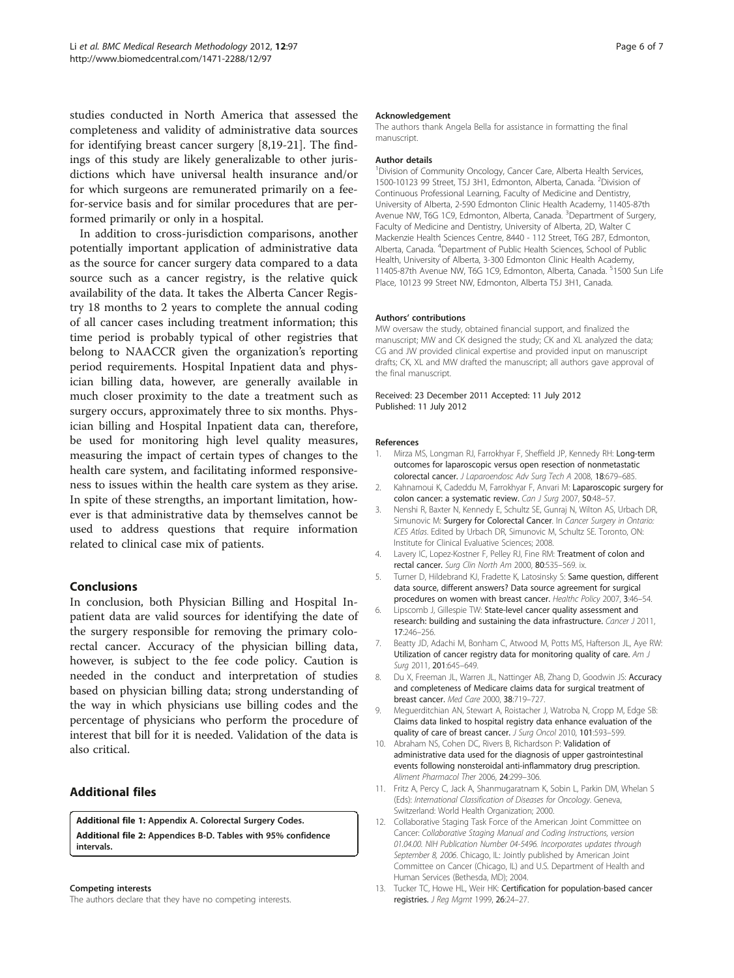<span id="page-5-0"></span>studies conducted in North America that assessed the completeness and validity of administrative data sources for identifying breast cancer surgery [8,[19-21\]](#page-6-0). The findings of this study are likely generalizable to other jurisdictions which have universal health insurance and/or for which surgeons are remunerated primarily on a feefor-service basis and for similar procedures that are performed primarily or only in a hospital.

In addition to cross-jurisdiction comparisons, another potentially important application of administrative data as the source for cancer surgery data compared to a data source such as a cancer registry, is the relative quick availability of the data. It takes the Alberta Cancer Registry 18 months to 2 years to complete the annual coding of all cancer cases including treatment information; this time period is probably typical of other registries that belong to NAACCR given the organization's reporting period requirements. Hospital Inpatient data and physician billing data, however, are generally available in much closer proximity to the date a treatment such as surgery occurs, approximately three to six months. Physician billing and Hospital Inpatient data can, therefore, be used for monitoring high level quality measures, measuring the impact of certain types of changes to the health care system, and facilitating informed responsiveness to issues within the health care system as they arise. In spite of these strengths, an important limitation, however is that administrative data by themselves cannot be used to address questions that require information related to clinical case mix of patients.

## Conclusions

In conclusion, both Physician Billing and Hospital Inpatient data are valid sources for identifying the date of the surgery responsible for removing the primary colorectal cancer. Accuracy of the physician billing data, however, is subject to the fee code policy. Caution is needed in the conduct and interpretation of studies based on physician billing data; strong understanding of the way in which physicians use billing codes and the percentage of physicians who perform the procedure of interest that bill for it is needed. Validation of the data is also critical.

## Additional files

[Additional file 1:](http://www.biomedcentral.com/content/supplementary/1471-2288-12-97-S1.doc) Appendix A. Colorectal Surgery Codes. [Additional file 2:](http://www.biomedcentral.com/content/supplementary/1471-2288-12-97-S2.doc) Appendices B-D. Tables with 95% confidence intervals.

#### Competing interests

The authors declare that they have no competing interests.

#### Acknowledgement

The authors thank Angela Bella for assistance in formatting the final manuscript.

#### Author details

<sup>1</sup> Division of Community Oncology, Cancer Care, Alberta Health Services 1500-10123 99 Street, T5J 3H1, Edmonton, Alberta, Canada. <sup>2</sup>Division of Continuous Professional Learning, Faculty of Medicine and Dentistry, University of Alberta, 2-590 Edmonton Clinic Health Academy, 11405-87th Avenue NW, T6G 1C9, Edmonton, Alberta, Canada. <sup>3</sup>Department of Surgery, Faculty of Medicine and Dentistry, University of Alberta, 2D, Walter C Mackenzie Health Sciences Centre, 8440 - 112 Street, T6G 2B7, Edmonton, Alberta, Canada. <sup>4</sup>Department of Public Health Sciences, School of Public Health, University of Alberta, 3-300 Edmonton Clinic Health Academy, 11405-87th Avenue NW, T6G 1C9, Edmonton, Alberta, Canada. <sup>5</sup>1500 Sun Life Place, 10123 99 Street NW, Edmonton, Alberta T5J 3H1, Canada.

#### Authors' contributions

MW oversaw the study, obtained financial support, and finalized the manuscript; MW and CK designed the study; CK and XL analyzed the data; CG and JW provided clinical expertise and provided input on manuscript drafts; CK, XL and MW drafted the manuscript; all authors gave approval of the final manuscript.

#### Received: 23 December 2011 Accepted: 11 July 2012 Published: 11 July 2012

#### References

- 1. Mirza MS, Longman RJ, Farrokhyar F, Sheffield JP, Kennedy RH: Long-term outcomes for laparoscopic versus open resection of nonmetastatic colorectal cancer. J Laparoendosc Adv Surg Tech A 2008, 18:679–685.
- 2. Kahnamoui K, Cadeddu M, Farrokhyar F, Anvari M: Laparoscopic surgery for colon cancer: a systematic review. Can J Surg 2007, 50:48-57.
- 3. Nenshi R, Baxter N, Kennedy E, Schultz SE, Gunraj N, Wilton AS, Urbach DR, Simunovic M: Surgery for Colorectal Cancer. In Cancer Surgery in Ontario: ICES Atlas. Edited by Urbach DR, Simunovic M, Schultz SE. Toronto, ON: Institute for Clinical Evaluative Sciences; 2008.
- 4. Lavery IC, Lopez-Kostner F, Pelley RJ, Fine RM: Treatment of colon and rectal cancer. Surg Clin North Am 2000, 80:535–569. ix.
- 5. Turner D, Hildebrand KJ, Fradette K, Latosinsky S: Same question, different data source, different answers? Data source agreement for surgical procedures on women with breast cancer. Healthc Policy 2007, 3:46–54.
- 6. Lipscomb J, Gillespie TW: State-level cancer quality assessment and research: building and sustaining the data infrastructure. Cancer J 2011, 17:246–256.
- 7. Beatty JD, Adachi M, Bonham C, Atwood M, Potts MS, Hafterson JL, Aye RW: Utilization of cancer registry data for monitoring quality of care. Am J Surg 2011, 201:645–649.
- 8. Du X, Freeman JL, Warren JL, Nattinger AB, Zhang D, Goodwin JS: Accuracy and completeness of Medicare claims data for surgical treatment of breast cancer. Med Care 2000, 38:719–727.
- Meguerditchian AN, Stewart A, Roistacher J, Watroba N, Cropp M, Edge SB: Claims data linked to hospital registry data enhance evaluation of the quality of care of breast cancer. J Surg Oncol 2010, 101:593–599.
- 10. Abraham NS, Cohen DC, Rivers B, Richardson P: Validation of administrative data used for the diagnosis of upper gastrointestinal events following nonsteroidal anti-inflammatory drug prescription. Aliment Pharmacol Ther 2006, 24:299–306.
- 11. Fritz A, Percy C, Jack A, Shanmugaratnam K, Sobin L, Parkin DM, Whelan S (Eds): International Classification of Diseases for Oncology. Geneva, Switzerland: World Health Organization; 2000.
- 12. Collaborative Staging Task Force of the American Joint Committee on Cancer: Collaborative Staging Manual and Coding Instructions, version 01.04.00. NIH Publication Number 04-5496. Incorporates updates through September 8, 2006. Chicago, IL: Jointly published by American Joint Committee on Cancer (Chicago, IL) and U.S. Department of Health and Human Services (Bethesda, MD); 2004.
- 13. Tucker TC, Howe HL, Weir HK: Certification for population-based cancer registries. J Reg Mgmt 1999, 26:24–27.